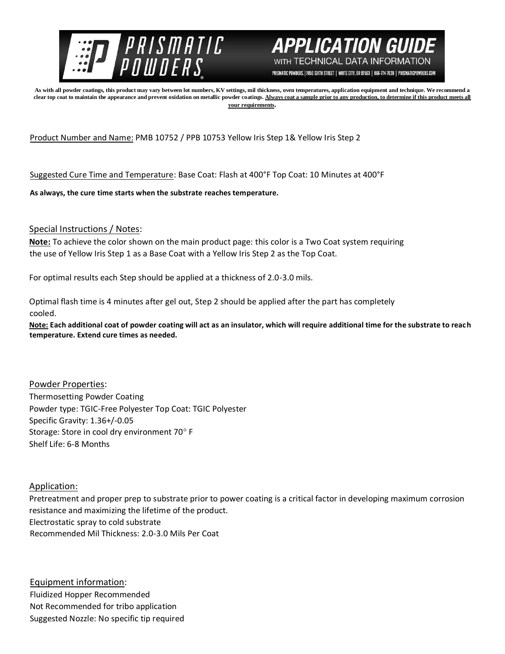



PRISMATIC POWDERS. | 7050 SIXTH STREET | WHITE CITY, OR 97503 | 866-774-7628 | PRISMATICPOWDERS.COM

**As with all powder coatings, this product may vary between lot numbers, KV settings, mil thickness, oven temperatures, application equipment and technique. We recommend a**  clear top coat to maintain the appearance and prevent oxidation on metallic powder coatings. Always coat a sample prior to any production, to determine if this product meets all **your requirements.** 

Product Number and Name: PMB 10752 / PPB 10753 Yellow Iris Step 1& Yellow Iris Step 2

Suggested Cure Time and Temperature: Base Coat: Flash at 400°F Top Coat: 10 Minutes at 400°F

**As always, the cure time starts when the substrate reaches temperature.**

Special Instructions / Notes:

**Note:** To achieve the color shown on the main product page: this color is a Two Coat system requiring the use of Yellow Iris Step 1 as a Base Coat with a Yellow Iris Step 2 as the Top Coat.

For optimal results each Step should be applied at a thickness of 2.0-3.0 mils.

Optimal flash time is 4 minutes after gel out, Step 2 should be applied after the part has completely cooled.

**Note: Each additional coat of powder coating will act as an insulator, which will require additional time for the substrate to reach temperature. Extend cure times as needed.** 

Powder Properties: Thermosetting Powder Coating Powder type: TGIC-Free Polyester Top Coat: TGIC Polyester Specific Gravity: 1.36+/-0.05 Storage: Store in cool dry environment 70°F Shelf Life: 6-8 Months

Application:

Pretreatment and proper prep to substrate prior to power coating is a critical factor in developing maximum corrosion resistance and maximizing the lifetime of the product. Electrostatic spray to cold substrate Recommended Mil Thickness: 2.0-3.0 Mils Per Coat

Equipment information: Fluidized Hopper Recommended Not Recommended for tribo application Suggested Nozzle: No specific tip required